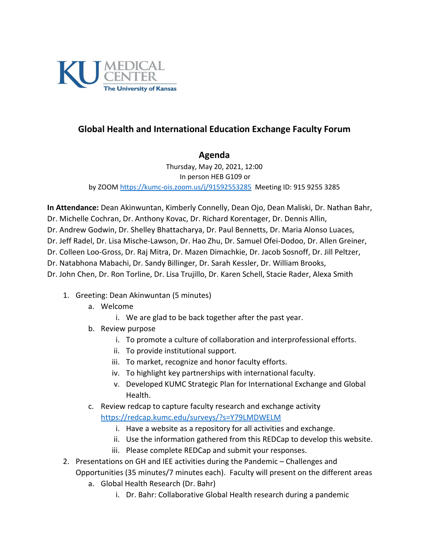

## **Global Health and International Education Exchange Faculty Forum**

## **Agenda**

Thursday, May 20, 2021, 12:00 In person HEB G109 or by ZOOM<https://kumc-ois.zoom.us/j/91592553285> Meeting ID: 915 9255 3285

**In Attendance:** Dean Akinwuntan, Kimberly Connelly, Dean Ojo, Dean Maliski, Dr. Nathan Bahr, Dr. Michelle Cochran, Dr. Anthony Kovac, Dr. Richard Korentager, Dr. Dennis Allin, Dr. Andrew Godwin, Dr. Shelley Bhattacharya, Dr. Paul Bennetts, Dr. Maria Alonso Luaces, Dr. Jeff Radel, Dr. Lisa Mische-Lawson, Dr. Hao Zhu, Dr. Samuel Ofei-Dodoo, Dr. Allen Greiner, Dr. Colleen Loo-Gross, Dr. Raj Mitra, Dr. Mazen Dimachkie, Dr. Jacob Sosnoff, Dr. Jill Peltzer, Dr. Natabhona Mabachi, Dr. Sandy Billinger, Dr. Sarah Kessler, Dr. William Brooks, Dr. John Chen, Dr. Ron Torline, Dr. Lisa Trujillo, Dr. Karen Schell, Stacie Rader, Alexa Smith

- 1. Greeting: Dean Akinwuntan (5 minutes)
	- a. Welcome
		- i. We are glad to be back together after the past year.
	- b. Review purpose
		- i. To promote a culture of collaboration and interprofessional efforts.
		- ii. To provide institutional support.
		- iii. To market, recognize and honor faculty efforts.
		- iv. To highlight key partnerships with international faculty.
		- v. Developed KUMC Strategic Plan for International Exchange and Global Health.
	- c. Review redcap to capture faculty research and exchange activity <https://redcap.kumc.edu/surveys/?s=Y79LMDWELM>
		- i. Have a website as a repository for all activities and exchange.
		- ii. Use the information gathered from this REDCap to develop this website.
		- iii. Please complete REDCap and submit your responses.
- 2. Presentations on GH and IEE activities during the Pandemic Challenges and Opportunities (35 minutes/7 minutes each). Faculty will present on the different areas
	- a. Global Health Research (Dr. Bahr)
		- i. Dr. Bahr: Collaborative Global Health research during a pandemic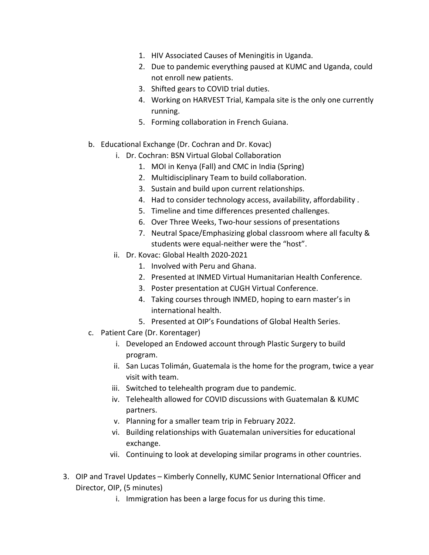- 1. HIV Associated Causes of Meningitis in Uganda.
- 2. Due to pandemic everything paused at KUMC and Uganda, could not enroll new patients.
- 3. Shifted gears to COVID trial duties.
- 4. Working on HARVEST Trial, Kampala site is the only one currently running.
- 5. Forming collaboration in French Guiana.
- b. Educational Exchange (Dr. Cochran and Dr. Kovac)
	- i. Dr. Cochran: BSN Virtual Global Collaboration
		- 1. MOI in Kenya (Fall) and CMC in India (Spring)
		- 2. Multidisciplinary Team to build collaboration.
		- 3. Sustain and build upon current relationships.
		- 4. Had to consider technology access, availability, affordability .
		- 5. Timeline and time differences presented challenges.
		- 6. Over Three Weeks, Two-hour sessions of presentations
		- 7. Neutral Space/Emphasizing global classroom where all faculty & students were equal-neither were the "host".
	- ii. Dr. Kovac: Global Health 2020-2021
		- 1. Involved with Peru and Ghana.
		- 2. Presented at INMED Virtual Humanitarian Health Conference.
		- 3. Poster presentation at CUGH Virtual Conference.
		- 4. Taking courses through INMED, hoping to earn master's in international health.
		- 5. Presented at OIP's Foundations of Global Health Series.
- c. Patient Care (Dr. Korentager)
	- i. Developed an Endowed account through Plastic Surgery to build program.
	- ii. San Lucas Tolimán, Guatemala is the home for the program, twice a year visit with team.
	- iii. Switched to telehealth program due to pandemic.
	- iv. Telehealth allowed for COVID discussions with Guatemalan & KUMC partners.
	- v. Planning for a smaller team trip in February 2022.
	- vi. Building relationships with Guatemalan universities for educational exchange.
	- vii. Continuing to look at developing similar programs in other countries.
- 3. OIP and Travel Updates Kimberly Connelly, KUMC Senior International Officer and Director, OIP, (5 minutes)
	- i. Immigration has been a large focus for us during this time.